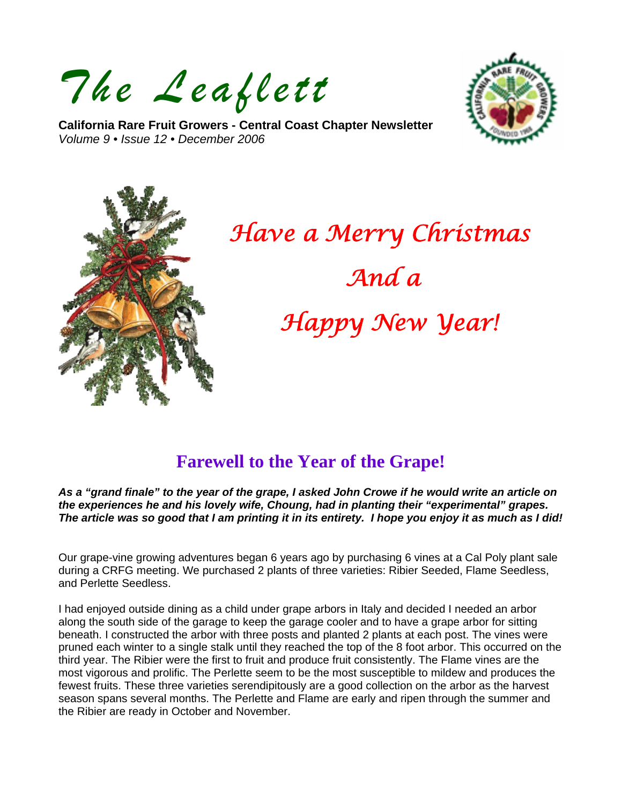*The Leaflett*

**California Rare Fruit Growers - Central Coast Chapter Newsletter**  *Volume 9 • Issue 12 • December 2006* 





# *Have a Merry Christmas And a Happy New Year!*

# **Farewell to the Year of the Grape!**

*As a "grand finale" to the year of the grape, I asked John Crowe if he would write an article on the experiences he and his lovely wife, Choung, had in planting their "experimental" grapes. The article was so good that I am printing it in its entirety. I hope you enjoy it as much as I did!* 

Our grape-vine growing adventures began 6 years ago by purchasing 6 vines at a Cal Poly plant sale during a CRFG meeting. We purchased 2 plants of three varieties: Ribier Seeded, Flame Seedless, and Perlette Seedless.

I had enjoyed outside dining as a child under grape arbors in Italy and decided I needed an arbor along the south side of the garage to keep the garage cooler and to have a grape arbor for sitting beneath. I constructed the arbor with three posts and planted 2 plants at each post. The vines were pruned each winter to a single stalk until they reached the top of the 8 foot arbor. This occurred on the third year. The Ribier were the first to fruit and produce fruit consistently. The Flame vines are the most vigorous and prolific. The Perlette seem to be the most susceptible to mildew and produces the fewest fruits. These three varieties serendipitously are a good collection on the arbor as the harvest season spans several months. The Perlette and Flame are early and ripen through the summer and the Ribier are ready in October and November.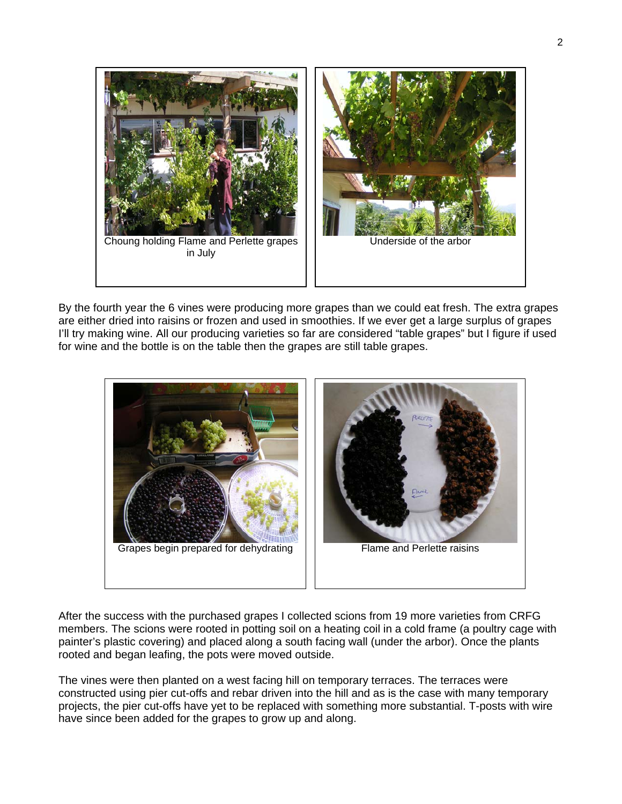

By the fourth year the 6 vines were producing more grapes than we could eat fresh. The extra grapes are either dried into raisins or frozen and used in smoothies. If we ever get a large surplus of grapes I'll try making wine. All our producing varieties so far are considered "table grapes" but I figure if used for wine and the bottle is on the table then the grapes are still table grapes.



After the success with the purchased grapes I collected scions from 19 more varieties from CRFG members. The scions were rooted in potting soil on a heating coil in a cold frame (a poultry cage with painter's plastic covering) and placed along a south facing wall (under the arbor). Once the plants rooted and began leafing, the pots were moved outside.

The vines were then planted on a west facing hill on temporary terraces. The terraces were constructed using pier cut-offs and rebar driven into the hill and as is the case with many temporary projects, the pier cut-offs have yet to be replaced with something more substantial. T-posts with wire have since been added for the grapes to grow up and along.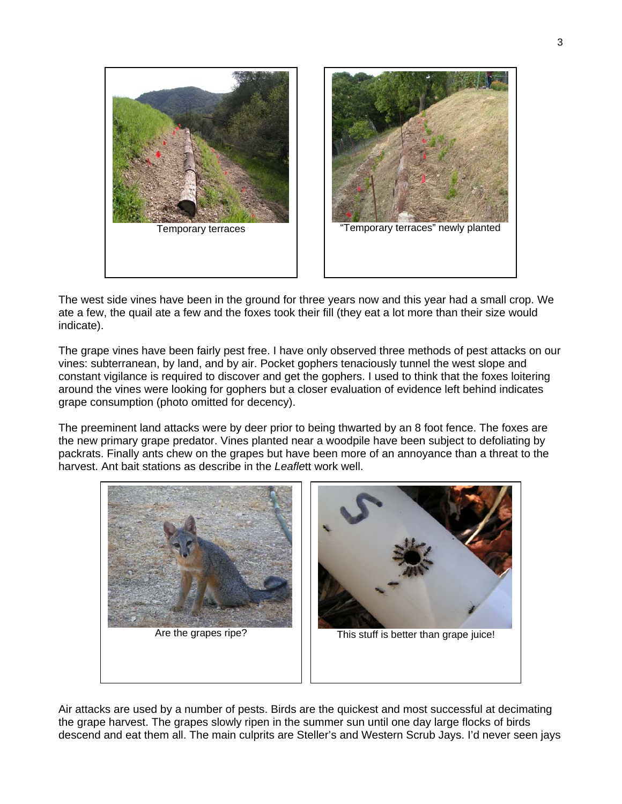



The west side vines have been in the ground for three years now and this year had a small crop. We ate a few, the quail ate a few and the foxes took their fill (they eat a lot more than their size would indicate).

The grape vines have been fairly pest free. I have only observed three methods of pest attacks on our vines: subterranean, by land, and by air. Pocket gophers tenaciously tunnel the west slope and constant vigilance is required to discover and get the gophers. I used to think that the foxes loitering around the vines were looking for gophers but a closer evaluation of evidence left behind indicates grape consumption (photo omitted for decency).

The preeminent land attacks were by deer prior to being thwarted by an 8 foot fence. The foxes are the new primary grape predator. Vines planted near a woodpile have been subject to defoliating by packrats. Finally ants chew on the grapes but have been more of an annoyance than a threat to the harvest. Ant bait stations as describe in the *Leafle*tt work well.



Air attacks are used by a number of pests. Birds are the quickest and most successful at decimating the grape harvest. The grapes slowly ripen in the summer sun until one day large flocks of birds descend and eat them all. The main culprits are Steller's and Western Scrub Jays. I'd never seen jays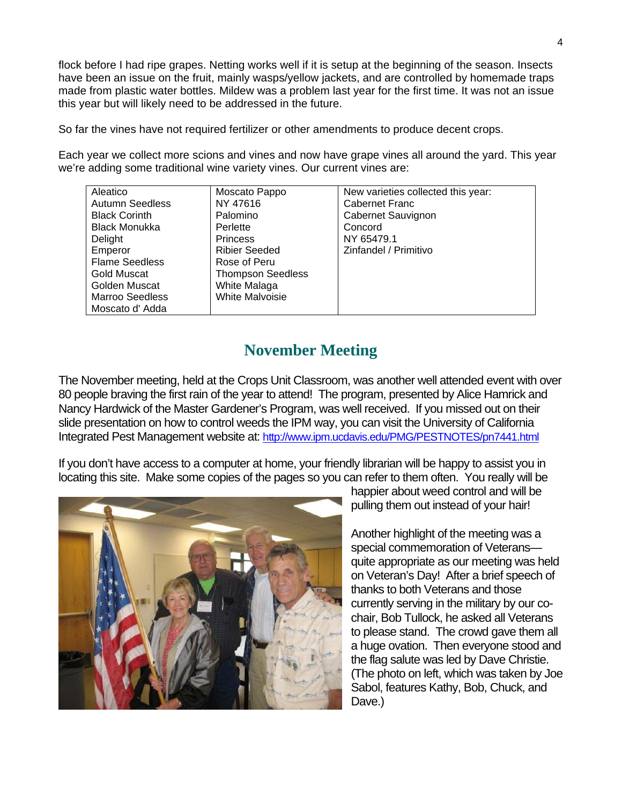flock before I had ripe grapes. Netting works well if it is setup at the beginning of the season. Insects have been an issue on the fruit, mainly wasps/yellow jackets, and are controlled by homemade traps made from plastic water bottles. Mildew was a problem last year for the first time. It was not an issue this year but will likely need to be addressed in the future.

So far the vines have not required fertilizer or other amendments to produce decent crops.

Each year we collect more scions and vines and now have grape vines all around the yard. This year we're adding some traditional wine variety vines. Our current vines are:

| Aleatico               | Moscato Pappo            | New varieties collected this year: |
|------------------------|--------------------------|------------------------------------|
| <b>Autumn Seedless</b> | NY 47616                 | Cabernet Franc                     |
| <b>Black Corinth</b>   | Palomino                 | Cabernet Sauvignon                 |
| <b>Black Monukka</b>   | Perlette                 | Concord                            |
| Delight                | <b>Princess</b>          | NY 65479.1                         |
| Emperor                | <b>Ribier Seeded</b>     | Zinfandel / Primitivo              |
| <b>Flame Seedless</b>  | Rose of Peru             |                                    |
| Gold Muscat            | <b>Thompson Seedless</b> |                                    |
| Golden Muscat          | White Malaga             |                                    |
| <b>Marroo Seedless</b> | <b>White Malvoisie</b>   |                                    |
| Moscato d'Adda         |                          |                                    |

## **November Meeting**

The November meeting, held at the Crops Unit Classroom, was another well attended event with over 80 people braving the first rain of the year to attend! The program, presented by Alice Hamrick and Nancy Hardwick of the Master Gardener's Program, was well received. If you missed out on their slide presentation on how to control weeds the IPM way, you can visit the University of California Integrated Pest Management website at: http://www.ipm.ucdavis.edu/PMG/PESTNOTES/pn7441.html

If you don't have access to a computer at home, your friendly librarian will be happy to assist you in locating this site. Make some copies of the pages so you can refer to them often. You really will be



happier about weed control and will be pulling them out instead of your hair!

Another highlight of the meeting was a special commemoration of Veterans quite appropriate as our meeting was held on Veteran's Day! After a brief speech of thanks to both Veterans and those currently serving in the military by our cochair, Bob Tullock, he asked all Veterans to please stand. The crowd gave them all a huge ovation. Then everyone stood and the flag salute was led by Dave Christie. (The photo on left, which was taken by Joe Sabol, features Kathy, Bob, Chuck, and Dave.)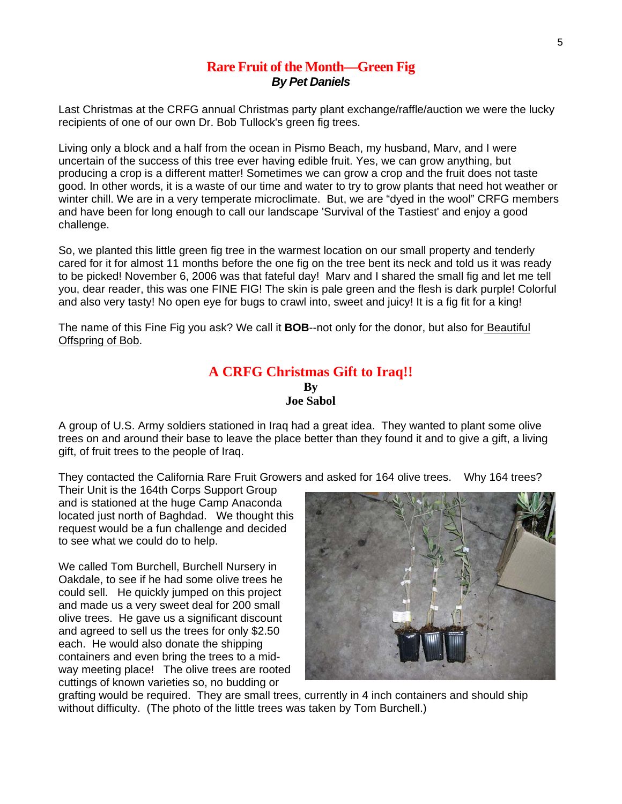#### **Rare Fruit of the Month—Green Fig**  *By Pet Daniels*

Last Christmas at the CRFG annual Christmas party plant exchange/raffle/auction we were the lucky recipients of one of our own Dr. Bob Tullock's green fig trees.

Living only a block and a half from the ocean in Pismo Beach, my husband, Marv, and I were uncertain of the success of this tree ever having edible fruit. Yes, we can grow anything, but producing a crop is a different matter! Sometimes we can grow a crop and the fruit does not taste good. In other words, it is a waste of our time and water to try to grow plants that need hot weather or winter chill. We are in a very temperate microclimate. But, we are "dyed in the wool" CRFG members and have been for long enough to call our landscape 'Survival of the Tastiest' and enjoy a good challenge.

So, we planted this little green fig tree in the warmest location on our small property and tenderly cared for it for almost 11 months before the one fig on the tree bent its neck and told us it was ready to be picked! November 6, 2006 was that fateful day! Marv and I shared the small fig and let me tell you, dear reader, this was one FINE FIG! The skin is pale green and the flesh is dark purple! Colorful and also very tasty! No open eye for bugs to crawl into, sweet and juicy! It is a fig fit for a king!

The name of this Fine Fig you ask? We call it **BOB**--not only for the donor, but also for Beautiful Offspring of Bob.

#### **A CRFG Christmas Gift to Iraq!! By Joe Sabol**

A group of U.S. Army soldiers stationed in Iraq had a great idea. They wanted to plant some olive trees on and around their base to leave the place better than they found it and to give a gift, a living gift, of fruit trees to the people of Iraq.

They contacted the California Rare Fruit Growers and asked for 164 olive trees. Why 164 trees?

Their Unit is the 164th Corps Support Group and is stationed at the huge Camp Anaconda located just north of Baghdad. We thought this request would be a fun challenge and decided to see what we could do to help.

We called Tom Burchell, Burchell Nursery in Oakdale, to see if he had some olive trees he could sell. He quickly jumped on this project and made us a very sweet deal for 200 small olive trees. He gave us a significant discount and agreed to sell us the trees for only \$2.50 each. He would also donate the shipping containers and even bring the trees to a midway meeting place! The olive trees are rooted cuttings of known varieties so, no budding or



grafting would be required. They are small trees, currently in 4 inch containers and should ship without difficulty. (The photo of the little trees was taken by Tom Burchell.)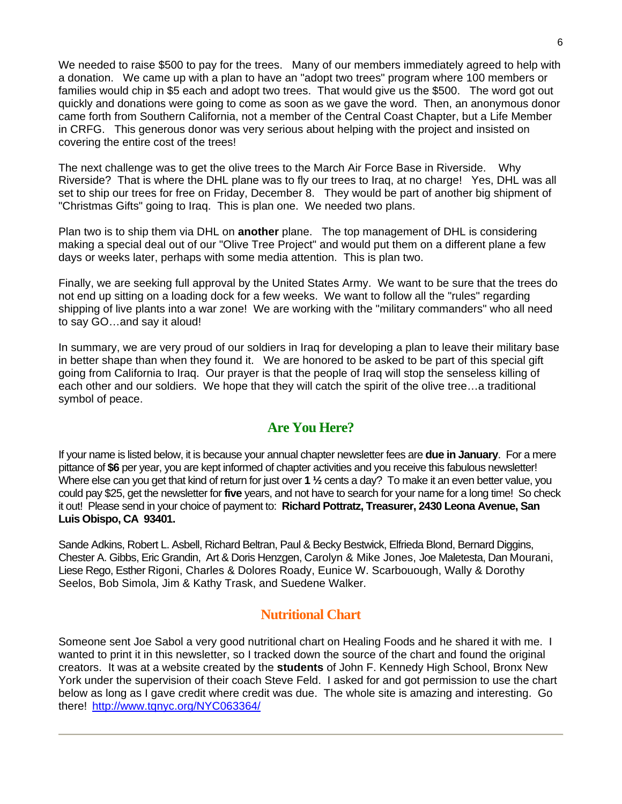We needed to raise \$500 to pay for the trees. Many of our members immediately agreed to help with a donation. We came up with a plan to have an "adopt two trees" program where 100 members or families would chip in \$5 each and adopt two trees. That would give us the \$500. The word got out quickly and donations were going to come as soon as we gave the word. Then, an anonymous donor came forth from Southern California, not a member of the Central Coast Chapter, but a Life Member in CRFG. This generous donor was very serious about helping with the project and insisted on covering the entire cost of the trees!

The next challenge was to get the olive trees to the March Air Force Base in Riverside. Why Riverside? That is where the DHL plane was to fly our trees to Iraq, at no charge! Yes, DHL was all set to ship our trees for free on Friday, December 8. They would be part of another big shipment of "Christmas Gifts" going to Iraq. This is plan one. We needed two plans.

Plan two is to ship them via DHL on **another** plane. The top management of DHL is considering making a special deal out of our "Olive Tree Project" and would put them on a different plane a few days or weeks later, perhaps with some media attention. This is plan two.

Finally, we are seeking full approval by the United States Army. We want to be sure that the trees do not end up sitting on a loading dock for a few weeks. We want to follow all the "rules" regarding shipping of live plants into a war zone! We are working with the "military commanders" who all need to say GO…and say it aloud!

In summary, we are very proud of our soldiers in Iraq for developing a plan to leave their military base in better shape than when they found it. We are honored to be asked to be part of this special gift going from California to Iraq. Our prayer is that the people of Iraq will stop the senseless killing of each other and our soldiers. We hope that they will catch the spirit of the olive tree…a traditional symbol of peace.

### **Are You Here?**

If your name is listed below, it is because your annual chapter newsletter fees are **due in January**. For a mere pittance of **\$6** per year, you are kept informed of chapter activities and you receive this fabulous newsletter! Where else can you get that kind of return for just over **1 ½** cents a day? To make it an even better value, you could pay \$25, get the newsletter for **five** years, and not have to search for your name for a long time! So check it out! Please send in your choice of payment to: **Richard Pottratz, Treasurer, 2430 Leona Avenue, San Luis Obispo, CA 93401.**

Sande Adkins, Robert L. Asbell, Richard Beltran, Paul & Becky Bestwick, Elfrieda Blond, Bernard Diggins, Chester A. Gibbs, Eric Grandin, Art & Doris Henzgen, Carolyn & Mike Jones, Joe Maletesta, Dan Mourani, Liese Rego, Esther Rigoni, Charles & Dolores Roady, Eunice W. Scarbouough, Wally & Dorothy Seelos, Bob Simola, Jim & Kathy Trask, and Suedene Walker.

#### **Nutritional Chart**

Someone sent Joe Sabol a very good nutritional chart on Healing Foods and he shared it with me. I wanted to print it in this newsletter, so I tracked down the source of the chart and found the original creators. It was at a website created by the **students** of John F. Kennedy High School, Bronx New York under the supervision of their coach Steve Feld. I asked for and got permission to use the chart below as long as I gave credit where credit was due. The whole site is amazing and interesting. Go there! <http://www.tqnyc.org/NYC063364/>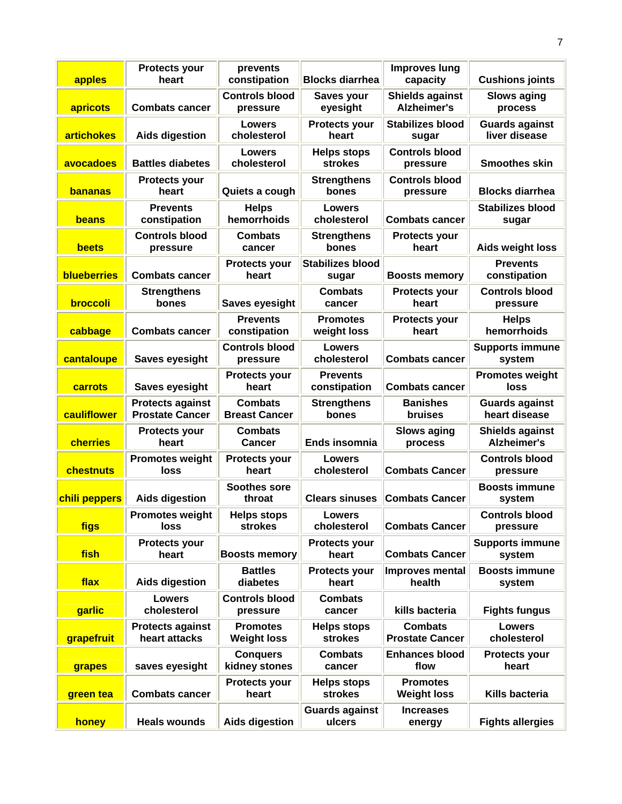| apples            | <b>Protects your</b><br>heart                     | prevents<br>constipation               | <b>Blocks diarrhea</b>               | <b>Improves lung</b><br>capacity             | <b>Cushions joints</b>                       |
|-------------------|---------------------------------------------------|----------------------------------------|--------------------------------------|----------------------------------------------|----------------------------------------------|
| apricots          | <b>Combats cancer</b>                             | <b>Controls blood</b><br>pressure      | Saves your<br>eyesight               | <b>Shields against</b><br><b>Alzheimer's</b> | <b>Slows aging</b><br>process                |
| <b>artichokes</b> | <b>Aids digestion</b>                             | <b>Lowers</b><br>cholesterol           | <b>Protects your</b><br>heart        | <b>Stabilizes blood</b><br>sugar             | <b>Guards against</b><br>liver disease       |
| avocadoes         | <b>Battles diabetes</b>                           | <b>Lowers</b><br>cholesterol           | <b>Helps stops</b><br><b>strokes</b> | <b>Controls blood</b><br>pressure            | <b>Smoothes skin</b>                         |
| <b>bananas</b>    | <b>Protects your</b><br>heart                     | Quiets a cough                         | <b>Strengthens</b><br>bones          | <b>Controls blood</b><br>pressure            | <b>Blocks diarrhea</b>                       |
| beans             | <b>Prevents</b><br>constipation                   | <b>Helps</b><br>hemorrhoids            | Lowers<br>cholesterol                | <b>Combats cancer</b>                        | <b>Stabilizes blood</b><br>sugar             |
| beets             | <b>Controls blood</b><br>pressure                 | <b>Combats</b><br>cancer               | <b>Strengthens</b><br>bones          | <b>Protects your</b><br>heart                | <b>Aids weight loss</b>                      |
| blueberries       | <b>Combats cancer</b>                             | <b>Protects your</b><br>heart          | <b>Stabilizes blood</b><br>sugar     | <b>Boosts memory</b>                         | <b>Prevents</b><br>constipation              |
| broccoli          | <b>Strengthens</b><br>bones                       | <b>Saves eyesight</b>                  | <b>Combats</b><br>cancer             | <b>Protects your</b><br>heart                | <b>Controls blood</b><br>pressure            |
| cabbage           | <b>Combats cancer</b>                             | <b>Prevents</b><br>constipation        | <b>Promotes</b><br>weight loss       | <b>Protects your</b><br>heart                | <b>Helps</b><br>hemorrhoids                  |
| cantaloupe        | <b>Saves eyesight</b>                             | <b>Controls blood</b><br>pressure      | Lowers<br>cholesterol                | <b>Combats cancer</b>                        | <b>Supports immune</b><br>system             |
| carrots           | <b>Saves eyesight</b>                             | <b>Protects your</b><br>heart          | <b>Prevents</b><br>constipation      | <b>Combats cancer</b>                        | <b>Promotes weight</b><br>loss               |
| cauliflower       | <b>Protects against</b><br><b>Prostate Cancer</b> | <b>Combats</b><br><b>Breast Cancer</b> | <b>Strengthens</b><br>bones          | <b>Banishes</b><br>bruises                   | <b>Guards against</b><br>heart disease       |
| cherries          | <b>Protects your</b><br>heart                     | <b>Combats</b><br><b>Cancer</b>        | Ends insomnia                        | <b>Slows aging</b><br>process                | <b>Shields against</b><br><b>Alzheimer's</b> |
| chestnuts         | <b>Promotes weight</b><br>loss                    | <b>Protects your</b><br>heart          | Lowers<br>cholesterol                | <b>Combats Cancer</b>                        | <b>Controls blood</b><br>pressure            |
| chili peppers     | <b>Aids digestion</b>                             | <b>Soothes sore</b><br>throat          | <b>Clears sinuses</b>                | <b>Combats Cancer</b>                        | <b>Boosts immune</b><br>system               |
| figs              | <b>Promotes weight</b><br><b>loss</b>             | <b>Helps stops</b><br><b>strokes</b>   | Lowers<br>cholesterol                | <b>Combats Cancer</b>                        | <b>Controls blood</b><br>pressure            |
| fish              | <b>Protects your</b><br>heart                     | <b>Boosts memory</b>                   | <b>Protects your</b><br>heart        | <b>Combats Cancer</b>                        | <b>Supports immune</b><br>system             |
| flax              | <b>Aids digestion</b>                             | <b>Battles</b><br>diabetes             | <b>Protects your</b><br>heart        | <b>Improves mental</b><br>health             | <b>Boosts immune</b><br>system               |
| garlic            | <b>Lowers</b><br>cholesterol                      | <b>Controls blood</b><br>pressure      | <b>Combats</b><br>cancer             | kills bacteria                               | <b>Fights fungus</b>                         |
| grapefruit        | <b>Protects against</b><br>heart attacks          | <b>Promotes</b><br><b>Weight loss</b>  | <b>Helps stops</b><br><b>strokes</b> | <b>Combats</b><br><b>Prostate Cancer</b>     | <b>Lowers</b><br>cholesterol                 |
| grapes            | saves eyesight                                    | <b>Conquers</b><br>kidney stones       | <b>Combats</b><br>cancer             | <b>Enhances blood</b><br>flow                | <b>Protects your</b><br>heart                |
| green tea         | <b>Combats cancer</b>                             | <b>Protects your</b><br>heart          | <b>Helps stops</b><br>strokes        | <b>Promotes</b><br><b>Weight loss</b>        | Kills bacteria                               |
| honey             | <b>Heals wounds</b>                               | <b>Aids digestion</b>                  | <b>Guards against</b><br>ulcers      | <b>Increases</b><br>energy                   | <b>Fights allergies</b>                      |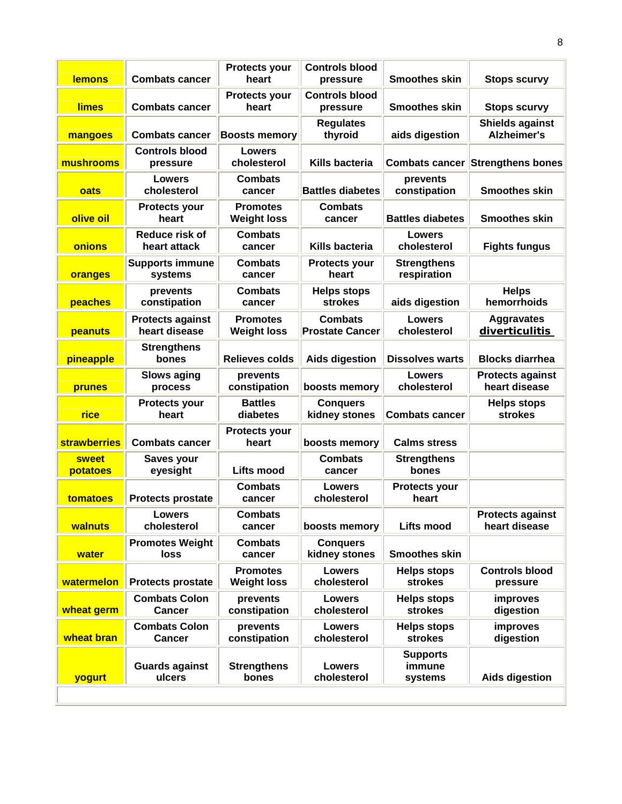| <b>lemons</b>            | <b>Combats cancer</b>                    | <b>Protects your</b><br>heart         | <b>Controls blood</b><br>pressure        | <b>Smoothes skin</b>                 | <b>Stops scurvy</b>                          |
|--------------------------|------------------------------------------|---------------------------------------|------------------------------------------|--------------------------------------|----------------------------------------------|
| <b>limes</b>             | <b>Combats cancer</b>                    | <b>Protects your</b><br>heart         | <b>Controls blood</b><br>pressure        | <b>Smoothes skin</b>                 | <b>Stops scurvy</b>                          |
| mangoes                  | <b>Combats cancer</b>                    | <b>Boosts memory</b>                  | <b>Regulates</b><br>thyroid              | aids digestion                       | <b>Shields against</b><br><b>Alzheimer's</b> |
| mushrooms                | <b>Controls blood</b><br>pressure        | <b>Lowers</b><br>cholesterol          | Kills bacteria                           | <b>Combats cancer</b>                | <b>Strengthens bones</b>                     |
| oats                     | Lowers<br>cholesterol                    | <b>Combats</b><br>cancer              | <b>Battles diabetes</b>                  | prevents<br>constipation             | <b>Smoothes skin</b>                         |
| olive oil                | <b>Protects your</b><br>heart            | <b>Promotes</b><br><b>Weight loss</b> | <b>Combats</b><br>cancer                 | <b>Battles diabetes</b>              | <b>Smoothes skin</b>                         |
| onions                   | Reduce risk of<br>heart attack           | <b>Combats</b><br>cancer              | Kills bacteria                           | Lowers<br>cholesterol                | <b>Fights fungus</b>                         |
| oranges                  | <b>Supports immune</b><br>systems        | <b>Combats</b><br>cancer              | <b>Protects your</b><br>heart            | <b>Strengthens</b><br>respiration    |                                              |
| peaches                  | prevents<br>constipation                 | <b>Combats</b><br>cancer              | <b>Helps stops</b><br><b>strokes</b>     | aids digestion                       | <b>Helps</b><br>hemorrhoids                  |
| peanuts                  | <b>Protects against</b><br>heart disease | <b>Promotes</b><br><b>Weight loss</b> | <b>Combats</b><br><b>Prostate Cancer</b> | Lowers<br>cholesterol                | <b>Aggravates</b><br>diverticulitis          |
| pineapple                | <b>Strengthens</b><br>bones              | <b>Relieves colds</b>                 | <b>Aids digestion</b>                    | <b>Dissolves warts</b>               | <b>Blocks diarrhea</b>                       |
| prunes                   | <b>Slows aging</b><br>process            | prevents<br>constipation              | boosts memory                            | Lowers<br>cholesterol                | <b>Protects against</b><br>heart disease     |
| rice                     | <b>Protects your</b><br>heart            | <b>Battles</b><br>diabetes            | <b>Conquers</b><br>kidney stones         | <b>Combats cancer</b>                | <b>Helps stops</b><br>strokes                |
| <b>strawberries</b>      | <b>Combats cancer</b>                    | <b>Protects your</b><br>heart         | boosts memory                            | <b>Calms stress</b>                  |                                              |
| <b>sweet</b><br>potatoes | Saves your<br>eyesight                   | Lifts mood                            | <b>Combats</b><br>cancer                 | <b>Strengthens</b><br>bones          |                                              |
| tomatoes                 | <b>Protects prostate</b>                 | <b>Combats</b><br>cancer              | Lowers<br>cholesterol                    | <b>Protects your</b><br>heart        |                                              |
| <b>walnuts</b>           | Lowers<br>cholesterol                    | Combats<br>cancer                     | boosts memory                            | <b>Lifts mood</b>                    | <b>Protects against</b><br>heart disease     |
| water                    | <b>Promotes Weight</b><br>loss           | <b>Combats</b><br>cancer              | <b>Conquers</b><br>kidney stones         | <b>Smoothes skin</b>                 |                                              |
| watermelon               | <b>Protects prostate</b>                 | <b>Promotes</b><br><b>Weight loss</b> | <b>Lowers</b><br>cholesterol             | <b>Helps stops</b><br><b>strokes</b> | <b>Controls blood</b><br>pressure            |
| wheat germ               | <b>Combats Colon</b><br>Cancer           | prevents<br>constipation              | <b>Lowers</b><br>cholesterol             | <b>Helps stops</b><br>strokes        | improves<br>digestion                        |
| wheat bran               | <b>Combats Colon</b><br>Cancer           | prevents<br>constipation              | <b>Lowers</b><br>cholesterol             | <b>Helps stops</b><br><b>strokes</b> | improves<br>digestion                        |
| yogurt                   | <b>Guards against</b><br>ulcers          | <b>Strengthens</b><br>bones           | <b>Lowers</b><br>cholesterol             | <b>Supports</b><br>immune<br>systems | <b>Aids digestion</b>                        |
|                          |                                          |                                       |                                          |                                      |                                              |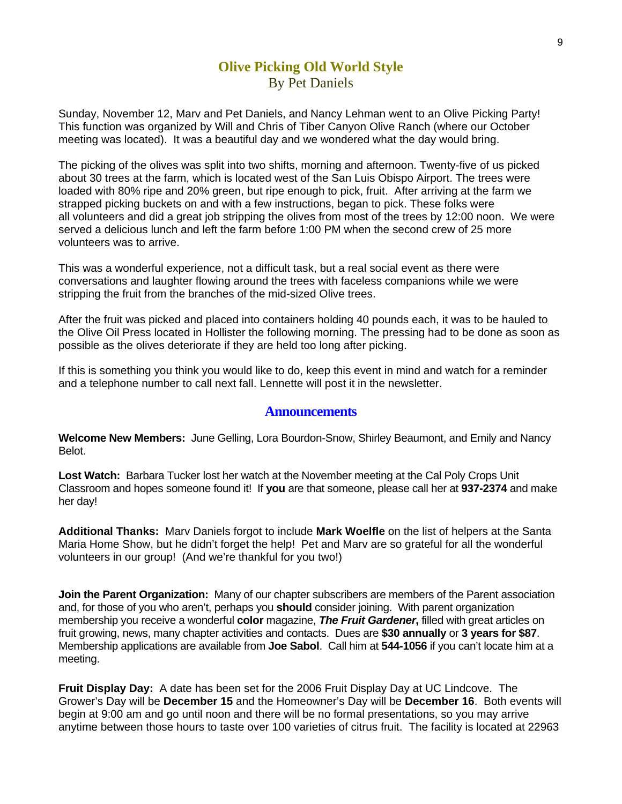## **Olive Picking Old World Style** By Pet Daniels

Sunday, November 12, Marv and Pet Daniels, and Nancy Lehman went to an Olive Picking Party! This function was organized by Will and Chris of Tiber Canyon Olive Ranch (where our October meeting was located). It was a beautiful day and we wondered what the day would bring.

The picking of the olives was split into two shifts, morning and afternoon. Twenty-five of us picked about 30 trees at the farm, which is located west of the San Luis Obispo Airport. The trees were loaded with 80% ripe and 20% green, but ripe enough to pick, fruit. After arriving at the farm we strapped picking buckets on and with a few instructions, began to pick. These folks were all volunteers and did a great job stripping the olives from most of the trees by 12:00 noon. We were served a delicious lunch and left the farm before 1:00 PM when the second crew of 25 more volunteers was to arrive.

This was a wonderful experience, not a difficult task, but a real social event as there were conversations and laughter flowing around the trees with faceless companions while we were stripping the fruit from the branches of the mid-sized Olive trees.

After the fruit was picked and placed into containers holding 40 pounds each, it was to be hauled to the Olive Oil Press located in Hollister the following morning. The pressing had to be done as soon as possible as the olives deteriorate if they are held too long after picking.

If this is something you think you would like to do, keep this event in mind and watch for a reminder and a telephone number to call next fall. Lennette will post it in the newsletter.

#### **Announcements**

**Welcome New Members:** June Gelling, Lora Bourdon-Snow, Shirley Beaumont, and Emily and Nancy Belot.

**Lost Watch:** Barbara Tucker lost her watch at the November meeting at the Cal Poly Crops Unit Classroom and hopes someone found it! If **you** are that someone, please call her at **937-2374** and make her day!

**Additional Thanks:** Marv Daniels forgot to include **Mark Woelfle** on the list of helpers at the Santa Maria Home Show, but he didn't forget the help! Pet and Marv are so grateful for all the wonderful volunteers in our group! (And we're thankful for you two!)

**Join the Parent Organization:** Many of our chapter subscribers are members of the Parent association and, for those of you who aren't, perhaps you **should** consider joining. With parent organization membership you receive a wonderful **color** magazine, *The Fruit Gardener***,** filled with great articles on fruit growing, news, many chapter activities and contacts. Dues are **\$30 annually** or **3 years for \$87**. Membership applications are available from **Joe Sabol**. Call him at **544-1056** if you can't locate him at a meeting.

**Fruit Display Day:** A date has been set for the 2006 Fruit Display Day at UC Lindcove. The Grower's Day will be **December 15** and the Homeowner's Day will be **December 16**. Both events will begin at 9:00 am and go until noon and there will be no formal presentations, so you may arrive anytime between those hours to taste over 100 varieties of citrus fruit. The facility is located at 22963